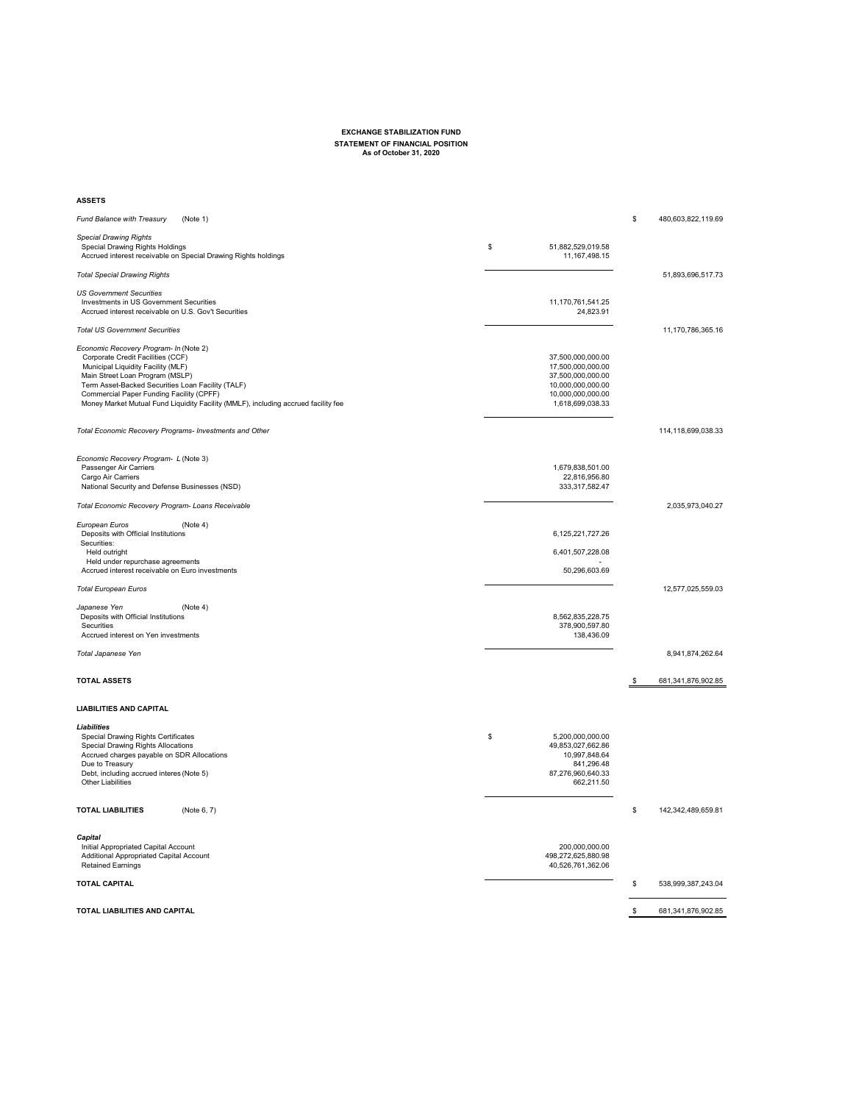## **EXCHANGE STABILIZATION FUND STATEMENT OF FINANCIAL POSITION As of October 31, 2020**

## **ASSETS**

| (Note 1)<br><b>Fund Balance with Treasury</b>                                                                                                                                                                                                                                                                                                             |                                                                                                                           | \$ | 480,603,822,119.69 |
|-----------------------------------------------------------------------------------------------------------------------------------------------------------------------------------------------------------------------------------------------------------------------------------------------------------------------------------------------------------|---------------------------------------------------------------------------------------------------------------------------|----|--------------------|
| <b>Special Drawing Rights</b><br><b>Special Drawing Rights Holdings</b><br>Accrued interest receivable on Special Drawing Rights holdings                                                                                                                                                                                                                 | \$<br>51,882,529,019.58<br>11, 167, 498. 15                                                                               |    |                    |
| <b>Total Special Drawing Rights</b>                                                                                                                                                                                                                                                                                                                       |                                                                                                                           |    | 51,893,696,517.73  |
| <b>US Government Securities</b><br><b>Investments in US Government Securities</b><br>Accrued interest receivable on U.S. Gov't Securities                                                                                                                                                                                                                 | 11,170,761,541.25<br>24,823.91                                                                                            |    |                    |
| <b>Total US Government Securities</b>                                                                                                                                                                                                                                                                                                                     |                                                                                                                           |    | 11,170,786,365.16  |
| Economic Recovery Program- In (Note 2)<br>Corporate Credit Facilities (CCF)<br><b>Municipal Liquidity Facility (MLF)</b><br>Main Street Loan Program (MSLP)<br>Term Asset-Backed Securities Loan Facility (TALF)<br><b>Commercial Paper Funding Facility (CPFF)</b><br>Money Market Mutual Fund Liquidity Facility (MMLF), including accrued facility fee | 37,500,000,000.00<br>17,500,000,000.00<br>37,500,000,000.00<br>10,000,000,000.00<br>10,000,000,000.00<br>1,618,699,038.33 |    |                    |
| Total Economic Recovery Programs- Investments and Other                                                                                                                                                                                                                                                                                                   |                                                                                                                           |    | 114,118,699,038.33 |
| Economic Recovery Program- L (Note 3)<br>Passenger Air Carriers<br>Cargo Air Carriers<br>National Security and Defense Businesses (NSD)                                                                                                                                                                                                                   | 1,679,838,501.00<br>22,816,956.80<br>333, 317, 582. 47                                                                    |    |                    |
| <b>Total Economic Recovery Program-Loans Receivable</b>                                                                                                                                                                                                                                                                                                   |                                                                                                                           |    | 2,035,973,040.27   |
| European Euros<br>(Note 4)<br>Deposits with Official Institutions<br>Securities:                                                                                                                                                                                                                                                                          | 6,125,221,727.26                                                                                                          |    |                    |
| Held outright<br>Held under repurchase agreements<br>Accrued interest receivable on Euro investments                                                                                                                                                                                                                                                      | 6,401,507,228.08<br>50,296,603.69                                                                                         |    |                    |
| <b>Total European Euros</b>                                                                                                                                                                                                                                                                                                                               |                                                                                                                           |    | 12,577,025,559.03  |
| Japanese Yen<br>(Note 4)<br>Deposits with Official Institutions<br><b>Securities</b><br>Accrued interest on Yen investments                                                                                                                                                                                                                               | 8,562,835,228.75<br>378,900,597.80<br>138,436.09                                                                          |    |                    |
| <b>Total Japanese Yen</b>                                                                                                                                                                                                                                                                                                                                 |                                                                                                                           |    | 8,941,874,262.64   |
| <b>TOTAL ASSETS</b>                                                                                                                                                                                                                                                                                                                                       |                                                                                                                           | \$ | 681,341,876,902.85 |
| <b>LIABILITIES AND CAPITAL</b>                                                                                                                                                                                                                                                                                                                            |                                                                                                                           |    |                    |
| <b>Liabilities</b><br><b>Special Drawing Rights Certificates</b><br><b>Special Drawing Rights Allocations</b><br>Accrued charges payable on SDR Allocations<br>Due to Treasury<br>Debt, including accrued interes (Note 5)<br><b>Other Liabilities</b>                                                                                                    | \$<br>5,200,000,000.00<br>49,853,027,662.86<br>10,997,848.64<br>841,296.48<br>87,276,960,640.33<br>662,211.50             |    |                    |
| <b>TOTAL LIABILITIES</b><br>(Note 6, 7)                                                                                                                                                                                                                                                                                                                   |                                                                                                                           | \$ | 142,342,489,659.81 |
| Capital<br>Initial Appropriated Capital Account<br><b>Additional Appropriated Capital Account</b><br><b>Retained Earnings</b>                                                                                                                                                                                                                             | 200,000,000.00<br>498,272,625,880.98<br>40,526,761,362.06                                                                 |    |                    |
| <b>TOTAL CAPITAL</b>                                                                                                                                                                                                                                                                                                                                      |                                                                                                                           | \$ | 538,999,387,243.04 |
| <b>TOTAL LIABILITIES AND CAPITAL</b>                                                                                                                                                                                                                                                                                                                      |                                                                                                                           | P. | 681,341,876,902.85 |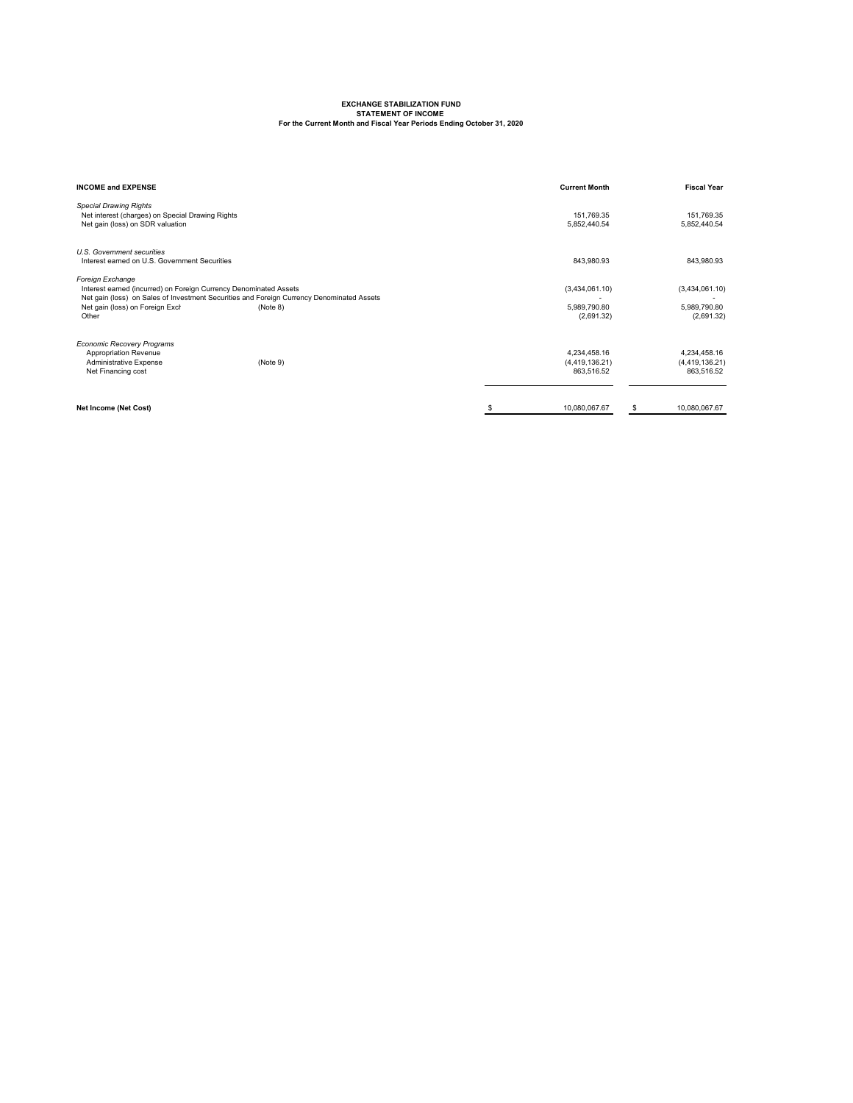## **EXCHANGE STABILIZATION FUND STATEMENT OF INCOME For the Current Month and Fiscal Year Periods Ending October 31, 2020**

| <b>INCOME and EXPENSE</b>                                                                                                                                                                                                                  | <b>Current Month</b>                           | <b>Fiscal Year</b>                           |
|--------------------------------------------------------------------------------------------------------------------------------------------------------------------------------------------------------------------------------------------|------------------------------------------------|----------------------------------------------|
| <b>Special Drawing Rights</b><br>Net interest (charges) on Special Drawing Rights<br>Net gain (loss) on SDR valuation                                                                                                                      | 151,769.35<br>5,852,440.54                     | 151,769.35<br>5,852,440.54                   |
| U.S. Government securities<br>Interest earned on U.S. Government Securities                                                                                                                                                                | 843,980.93                                     | 843,980.93                                   |
| Foreign Exchange<br>Interest earned (incurred) on Foreign Currency Denominated Assets<br>Net gain (loss) on Sales of Investment Securities and Foreign Currency Denominated Assets<br>Net gain (loss) on Foreign Excl<br>(Note 8)<br>Other | (3,434,061.10)<br>5,989,790.80<br>(2,691.32)   | (3,434,061.10)<br>5,989,790.80<br>(2,691.32) |
| <b>Economic Recovery Programs</b><br><b>Appropriation Revenue</b><br><b>Administrative Expense</b><br>(Note 9)<br>Net Financing cost                                                                                                       | 4,234,458.16<br>(4, 419, 136.21)<br>863,516.52 | 4,234,458.16<br>(4,419,136.21)<br>863,516.52 |
| <b>Net Income (Net Cost)</b>                                                                                                                                                                                                               | 10,080,067.67                                  | \$<br>10,080,067.67                          |